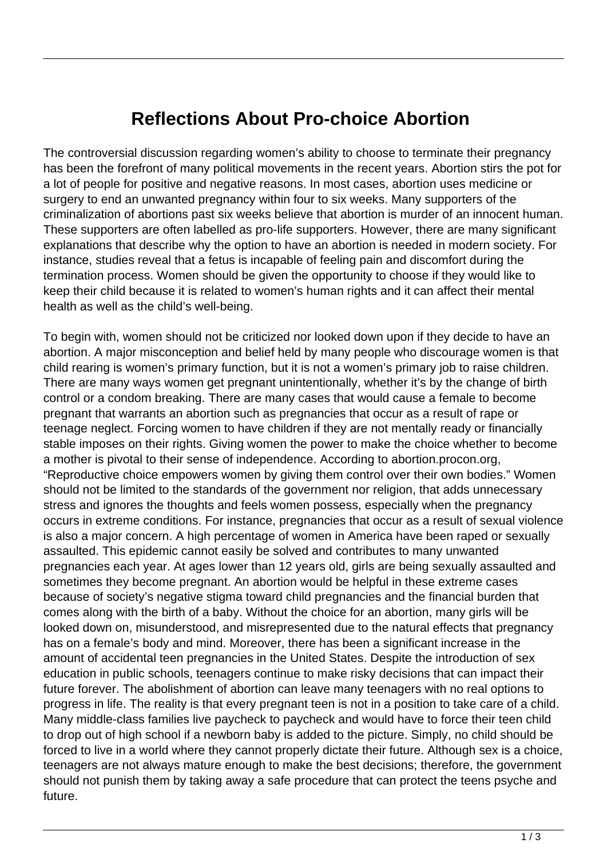## **Reflections About Pro-choice Abortion**

The controversial discussion regarding women's ability to choose to terminate their pregnancy has been the forefront of many political movements in the recent years. Abortion stirs the pot for a lot of people for positive and negative reasons. In most cases, abortion uses medicine or surgery to end an unwanted pregnancy within four to six weeks. Many supporters of the criminalization of abortions past six weeks believe that abortion is murder of an innocent human. These supporters are often labelled as pro-life supporters. However, there are many significant explanations that describe why the option to have an abortion is needed in modern society. For instance, studies reveal that a fetus is incapable of feeling pain and discomfort during the termination process. Women should be given the opportunity to choose if they would like to keep their child because it is related to women's human rights and it can affect their mental health as well as the child's well-being.

To begin with, women should not be criticized nor looked down upon if they decide to have an abortion. A major misconception and belief held by many people who discourage women is that child rearing is women's primary function, but it is not a women's primary job to raise children. There are many ways women get pregnant unintentionally, whether it's by the change of birth control or a condom breaking. There are many cases that would cause a female to become pregnant that warrants an abortion such as pregnancies that occur as a result of rape or teenage neglect. Forcing women to have children if they are not mentally ready or financially stable imposes on their rights. Giving women the power to make the choice whether to become a mother is pivotal to their sense of independence. According to abortion.procon.org, "Reproductive choice empowers women by giving them control over their own bodies." Women should not be limited to the standards of the government nor religion, that adds unnecessary stress and ignores the thoughts and feels women possess, especially when the pregnancy occurs in extreme conditions. For instance, pregnancies that occur as a result of sexual violence is also a major concern. A high percentage of women in America have been raped or sexually assaulted. This epidemic cannot easily be solved and contributes to many unwanted pregnancies each year. At ages lower than 12 years old, girls are being sexually assaulted and sometimes they become pregnant. An abortion would be helpful in these extreme cases because of society's negative stigma toward child pregnancies and the financial burden that comes along with the birth of a baby. Without the choice for an abortion, many girls will be looked down on, misunderstood, and misrepresented due to the natural effects that pregnancy has on a female's body and mind. Moreover, there has been a significant increase in the amount of accidental teen pregnancies in the United States. Despite the introduction of sex education in public schools, teenagers continue to make risky decisions that can impact their future forever. The abolishment of abortion can leave many teenagers with no real options to progress in life. The reality is that every pregnant teen is not in a position to take care of a child. Many middle-class families live paycheck to paycheck and would have to force their teen child to drop out of high school if a newborn baby is added to the picture. Simply, no child should be forced to live in a world where they cannot properly dictate their future. Although sex is a choice, teenagers are not always mature enough to make the best decisions; therefore, the government should not punish them by taking away a safe procedure that can protect the teens psyche and future.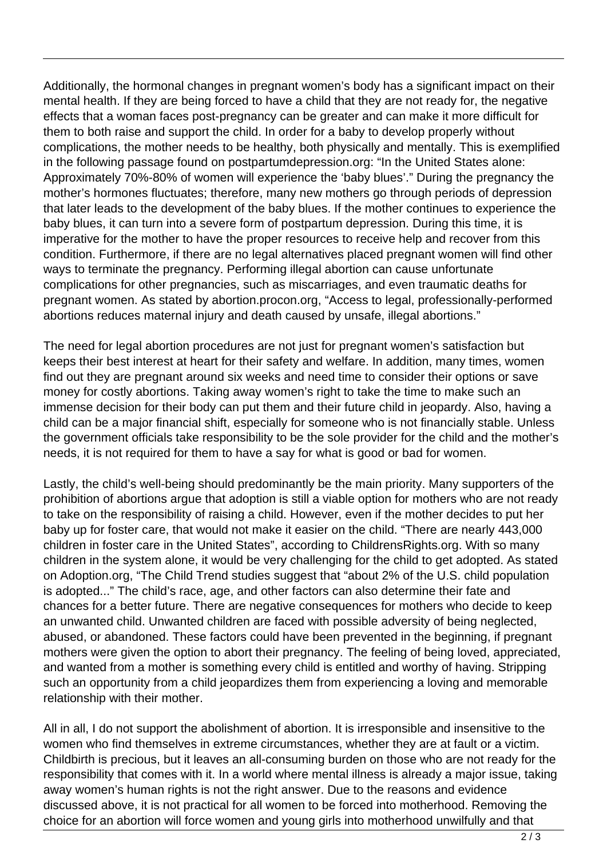Additionally, the hormonal changes in pregnant women's body has a significant impact on their mental health. If they are being forced to have a child that they are not ready for, the negative effects that a woman faces post-pregnancy can be greater and can make it more difficult for them to both raise and support the child. In order for a baby to develop properly without complications, the mother needs to be healthy, both physically and mentally. This is exemplified in the following passage found on postpartumdepression.org: "In the United States alone: Approximately 70%-80% of women will experience the 'baby blues'." During the pregnancy the mother's hormones fluctuates; therefore, many new mothers go through periods of depression that later leads to the development of the baby blues. If the mother continues to experience the baby blues, it can turn into a severe form of postpartum depression. During this time, it is imperative for the mother to have the proper resources to receive help and recover from this condition. Furthermore, if there are no legal alternatives placed pregnant women will find other ways to terminate the pregnancy. Performing illegal abortion can cause unfortunate complications for other pregnancies, such as miscarriages, and even traumatic deaths for pregnant women. As stated by abortion.procon.org, "Access to legal, professionally-performed abortions reduces maternal injury and death caused by unsafe, illegal abortions."

The need for legal abortion procedures are not just for pregnant women's satisfaction but keeps their best interest at heart for their safety and welfare. In addition, many times, women find out they are pregnant around six weeks and need time to consider their options or save money for costly abortions. Taking away women's right to take the time to make such an immense decision for their body can put them and their future child in jeopardy. Also, having a child can be a major financial shift, especially for someone who is not financially stable. Unless the government officials take responsibility to be the sole provider for the child and the mother's needs, it is not required for them to have a say for what is good or bad for women.

Lastly, the child's well-being should predominantly be the main priority. Many supporters of the prohibition of abortions argue that adoption is still a viable option for mothers who are not ready to take on the responsibility of raising a child. However, even if the mother decides to put her baby up for foster care, that would not make it easier on the child. "There are nearly 443,000 children in foster care in the United States", according to ChildrensRights.org. With so many children in the system alone, it would be very challenging for the child to get adopted. As stated on Adoption.org, "The Child Trend studies suggest that "about 2% of the U.S. child population is adopted..." The child's race, age, and other factors can also determine their fate and chances for a better future. There are negative consequences for mothers who decide to keep an unwanted child. Unwanted children are faced with possible adversity of being neglected, abused, or abandoned. These factors could have been prevented in the beginning, if pregnant mothers were given the option to abort their pregnancy. The feeling of being loved, appreciated, and wanted from a mother is something every child is entitled and worthy of having. Stripping such an opportunity from a child jeopardizes them from experiencing a loving and memorable relationship with their mother.

All in all, I do not support the abolishment of abortion. It is irresponsible and insensitive to the women who find themselves in extreme circumstances, whether they are at fault or a victim. Childbirth is precious, but it leaves an all-consuming burden on those who are not ready for the responsibility that comes with it. In a world where mental illness is already a major issue, taking away women's human rights is not the right answer. Due to the reasons and evidence discussed above, it is not practical for all women to be forced into motherhood. Removing the choice for an abortion will force women and young girls into motherhood unwilfully and that